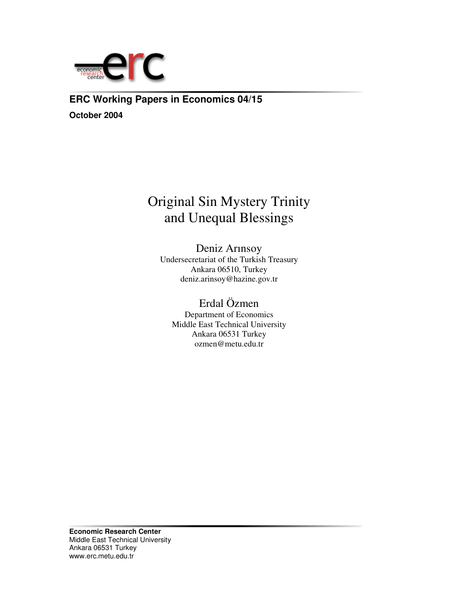

## **ERC Working Papers in Economics 04/15**

**October 2004**

# Original Sin Mystery Trinity and Unequal Blessings

Deniz Arınsoy Undersecretariat of the Turkish Treasury Ankara 06510, Turkey deniz.arinsoy@hazine.gov.tr

Erdal Özmen Department of Economics Middle East Technical University Ankara 06531 Turkey ozmen@metu.edu.tr

**Economic Research Center** Middle East Technical University Ankara 06531 Turkey www.erc.metu.edu.tr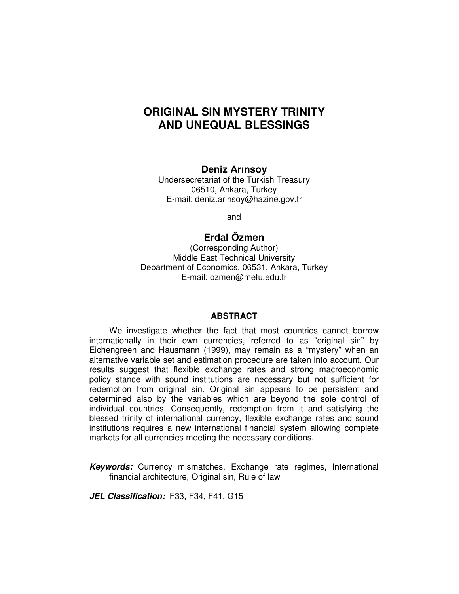# **ORIGINAL SIN MYSTERY TRINITY AND UNEQUAL BLESSINGS**

**Deniz Arınsoy**

Undersecretariat of the Turkish Treasury 06510, Ankara, Turkey E-mail: deniz.arinsoy@hazine.gov.tr

and

### **Erdal Özmen**

(Corresponding Author) Middle East Technical University Department of Economics, 06531, Ankara, Turkey E-mail: ozmen@metu.edu.tr

#### **ABSTRACT**

We investigate whether the fact that most countries cannot borrow internationally in their own currencies, referred to as "original sin" by Eichengreen and Hausmann (1999), may remain as a "mystery" when an alternative variable set and estimation procedure are taken into account. Our results suggest that flexible exchange rates and strong macroeconomic policy stance with sound institutions are necessary but not sufficient for redemption from original sin. Original sin appears to be persistent and determined also by the variables which are beyond the sole control of individual countries. Consequently, redemption from it and satisfying the blessed trinity of international currency, flexible exchange rates and sound institutions requires a new international financial system allowing complete markets for all currencies meeting the necessary conditions.

*Keywords:* Currency mismatches, Exchange rate regimes, International financial architecture, Original sin, Rule of law

*JEL Classification:* F33, F34, F41, G15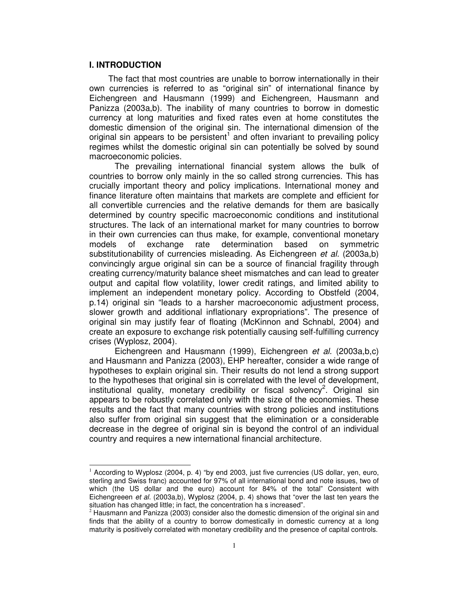#### **I. INTRODUCTION**

The fact that most countries are unable to borrow internationally in their own currencies is referred to as "original sin" of international finance by Eichengreen and Hausmann (1999) and Eichengreen, Hausmann and Panizza (2003a,b). The inability of many countries to borrow in domestic currency at long maturities and fixed rates even at home constitutes the domestic dimension of the original sin. The international dimension of the original sin appears to be persistent<sup>1</sup> and often invariant to prevailing policy regimes whilst the domestic original sin can potentially be solved by sound macroeconomic policies.

The prevailing international financial system allows the bulk of countries to borrow only mainly in the so called strong currencies. This has crucially important theory and policy implications. International money and finance literature often maintains that markets are complete and efficient for all convertible currencies and the relative demands for them are basically determined by country specific macroeconomic conditions and institutional structures. The lack of an international market for many countries to borrow in their own currencies can thus make, for example, conventional monetary models of exchange rate determination based on symmetric substitutionability of currencies misleading. As Eichengreen *et al.* (2003a,b) convincingly argue original sin can be a source of financial fragility through creating currency/maturity balance sheet mismatches and can lead to greater output and capital flow volatility, lower credit ratings, and limited ability to implement an independent monetary policy. According to Obstfeld (2004, p.14) original sin "leads to a harsher macroeconomic adjustment process, slower growth and additional inflationary expropriations". The presence of original sin may justify fear of floating (McKinnon and Schnabl, 2004) and create an exposure to exchange risk potentially causing self-fulfilling currency crises (Wyplosz, 2004).

Eichengreen and Hausmann (1999), Eichengreen *et al.* (2003a,b,c) and Hausmann and Panizza (2003), EHP hereafter, consider a wide range of hypotheses to explain original sin. Their results do not lend a strong support to the hypotheses that original sin is correlated with the level of development, institutional quality, monetary credibility or fiscal solvency<sup>2</sup>. Original sin appears to be robustly correlated only with the size of the economies. These results and the fact that many countries with strong policies and institutions also suffer from original sin suggest that the elimination or a considerable decrease in the degree of original sin is beyond the control of an individual country and requires a new international financial architecture.

 $1$  According to Wyplosz (2004, p. 4) "by end 2003, just five currencies (US dollar, yen, euro, sterling and Swiss franc) accounted for 97% of all international bond and note issues, two of which (the US dollar and the euro) account for 84% of the total" Consistent with Eichengreeen *et al.* (2003a,b), Wyplosz (2004, p. 4) shows that "over the last ten years the situation has changed little; in fact, the concentration ha s increased".

 $<sup>2</sup>$  Hausmann and Panizza (2003) consider also the domestic dimension of the original sin and</sup> finds that the ability of a country to borrow domestically in domestic currency at a long maturity is positively correlated with monetary credibility and the presence of capital controls.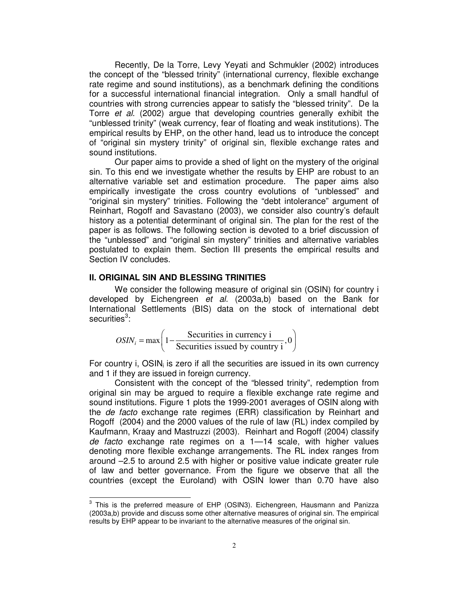Recently, De la Torre, Levy Yeyati and Schmukler (2002) introduces the concept of the "blessed trinity" (international currency, flexible exchange rate regime and sound institutions), as a benchmark defining the conditions for a successful international financial integration. Only a small handful of countries with strong currencies appear to satisfy the "blessed trinity". De la Torre *et al*. (2002) argue that developing countries generally exhibit the "unblessed trinity" (weak currency, fear of floating and weak institutions). The empirical results by EHP, on the other hand, lead us to introduce the concept of "original sin mystery trinity" of original sin, flexible exchange rates and sound institutions.

Our paper aims to provide a shed of light on the mystery of the original sin. To this end we investigate whether the results by EHP are robust to an alternative variable set and estimation procedure. The paper aims also empirically investigate the cross country evolutions of "unblessed" and "original sin mystery" trinities. Following the "debt intolerance" argument of Reinhart, Rogoff and Savastano (2003), we consider also country's default history as a potential determinant of original sin. The plan for the rest of the paper is as follows. The following section is devoted to a brief discussion of the "unblessed" and "original sin mystery" trinities and alternative variables postulated to explain them. Section III presents the empirical results and Section IV concludes.

#### **II. ORIGINAL SIN AND BLESSING TRINITIES**

We consider the following measure of original sin (OSIN) for country i developed by Eichengreen *et al.* (2003a,b) based on the Bank for International Settlements (BIS) data on the stock of international debt securities<sup>3</sup>:

max 1 ,0 Securities in currency i  $OSIN_i = \max\left(1 - \frac{Secuities \text{ in currency 1}}{Securities \text{ issued by country i}}\right)$  $=\max\left(1-\frac{\text{Securities in currency i}}{\text{Scurities in your theorem}},0\right)$  $\left\langle \right.$  Securities issued by country i  $\left($ 

For country i, OSIN<sub>i</sub> is zero if all the securities are issued in its own currency and 1 if they are issued in foreign currency.

Consistent with the concept of the "blessed trinity", redemption from original sin may be argued to require a flexible exchange rate regime and sound institutions. Figure 1 plots the 1999-2001 averages of OSIN along with the *de facto* exchange rate regimes (ERR) classification by Reinhart and Rogoff (2004) and the 2000 values of the rule of law (RL) index compiled by Kaufmann, Kraay and Mastruzzi (2003). Reinhart and Rogoff (2004) classify *de facto* exchange rate regimes on a 1—14 scale, with higher values denoting more flexible exchange arrangements. The RL index ranges from around –2.5 to around 2.5 with higher or positive value indicate greater rule of law and better governance. From the figure we observe that all the countries (except the Euroland) with OSIN lower than 0.70 have also

 $3$  This is the preferred measure of EHP (OSIN3). Eichengreen, Hausmann and Panizza (2003a,b) provide and discuss some other alternative measures of original sin. The empirical results by EHP appear to be invariant to the alternative measures of the original sin.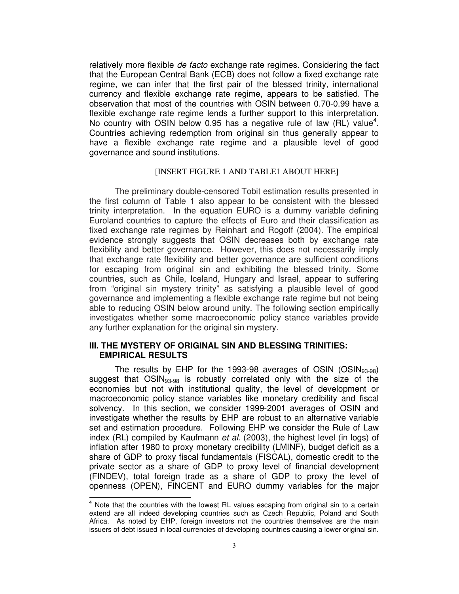relatively more flexible *de facto* exchange rate regimes. Considering the fact that the European Central Bank (ECB) does not follow a fixed exchange rate regime, we can infer that the first pair of the blessed trinity, international currency and flexible exchange rate regime, appears to be satisfied. The observation that most of the countries with OSIN between 0.70-0.99 have a flexible exchange rate regime lends a further support to this interpretation. No country with OSIN below 0.95 has a negative rule of law (RL) value<sup>4</sup>. Countries achieving redemption from original sin thus generally appear to have a flexible exchange rate regime and a plausible level of good governance and sound institutions.

#### [INSERT FIGURE 1 AND TABLE1 ABOUT HERE]

The preliminary double-censored Tobit estimation results presented in the first column of Table 1 also appear to be consistent with the blessed trinity interpretation. In the equation EURO is a dummy variable defining Euroland countries to capture the effects of Euro and their classification as fixed exchange rate regimes by Reinhart and Rogoff (2004). The empirical evidence strongly suggests that OSIN decreases both by exchange rate flexibility and better governance. However, this does not necessarily imply that exchange rate flexibility and better governance are sufficient conditions for escaping from original sin and exhibiting the blessed trinity. Some countries, such as Chile, Iceland, Hungary and Israel, appear to suffering from "original sin mystery trinity" as satisfying a plausible level of good governance and implementing a flexible exchange rate regime but not being able to reducing OSIN below around unity. The following section empirically investigates whether some macroeconomic policy stance variables provide any further explanation for the original sin mystery.

#### **III. THE MYSTERY OF ORIGINAL SIN AND BLESSING TRINITIES: EMPIRICAL RESULTS**

The results by EHP for the 1993-98 averages of OSIN (OSIN93-98) suggest that OSIN<sub>93-98</sub> is robustly correlated only with the size of the economies but not with institutional quality, the level of development or macroeconomic policy stance variables like monetary credibility and fiscal solvency. In this section, we consider 1999-2001 averages of OSIN and investigate whether the results by EHP are robust to an alternative variable set and estimation procedure. Following EHP we consider the Rule of Law index (RL) compiled by Kaufmann *et al.* (2003), the highest level (in logs) of inflation after 1980 to proxy monetary credibility (LMINF), budget deficit as a share of GDP to proxy fiscal fundamentals (FISCAL), domestic credit to the private sector as a share of GDP to proxy level of financial development (FINDEV), total foreign trade as a share of GDP to proxy the level of openness (OPEN), FINCENT and EURO dummy variables for the major

 $4$  Note that the countries with the lowest RL values escaping from original sin to a certain extend are all indeed developing countries such as Czech Republic, Poland and South Africa. As noted by EHP, foreign investors not the countries themselves are the main issuers of debt issued in local currencies of developing countries causing a lower original sin.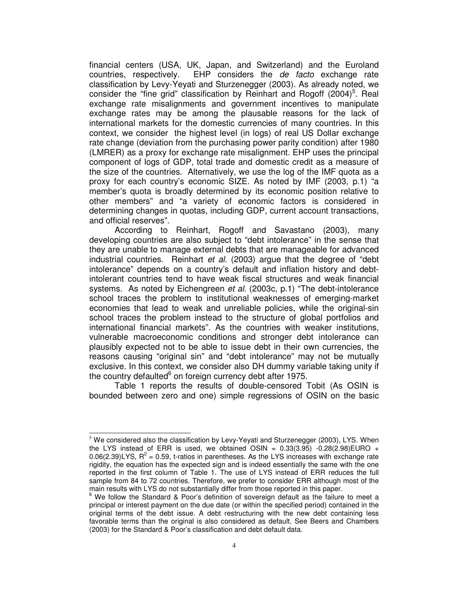financial centers (USA, UK, Japan, and Switzerland) and the Euroland countries, respectively. EHP considers the *de facto* exchange rate classification by Levy-Yeyati and Sturzenegger (2003). As already noted, we consider the "fine grid" classification by Reinhart and Rogoff  $(2004)^5$ . Real exchange rate misalignments and government incentives to manipulate exchange rates may be among the plausable reasons for the lack of international markets for the domestic currencies of many countries. In this context, we consider the highest level (in logs) of real US Dollar exchange rate change (deviation from the purchasing power parity condition) after 1980 (LMRER) as a proxy for exchange rate misalignment. EHP uses the principal component of logs of GDP, total trade and domestic credit as a measure of the size of the countries. Alternatively, we use the log of the IMF quota as a proxy for each country's economic SIZE. As noted by IMF (2003, p.1) "a member's quota is broadly determined by its economic position relative to other members" and "a variety of economic factors is considered in determining changes in quotas, including GDP, current account transactions, and official reserves".

According to Reinhart, Rogoff and Savastano (2003), many developing countries are also subject to "debt intolerance" in the sense that they are unable to manage external debts that are manageable for advanced industrial countries. Reinhart *et al.* (2003) argue that the degree of "debt intolerance" depends on a country's default and inflation history and debtintolerant countries tend to have weak fiscal structures and weak financial systems. As noted by Eichengreen *et al.* (2003c, p.1) "The debt-intolerance school traces the problem to institutional weaknesses of emerging-market economies that lead to weak and unreliable policies, while the original-sin school traces the problem instead to the structure of global portfolios and international financial markets". As the countries with weaker institutions, vulnerable macroeconomic conditions and stronger debt intolerance can plausibly expected not to be able to issue debt in their own currencies, the reasons causing "original sin" and "debt intolerance" may not be mutually exclusive. In this context, we consider also DH dummy variable taking unity if the country defaulted<sup>6</sup> on foreign currency debt after 1975.

Table 1 reports the results of double-censored Tobit (As OSIN is bounded between zero and one) simple regressions of OSIN on the basic

 $<sup>5</sup>$  We considered also the classification by Levy-Yeyati and Sturzenegger (2003), LYS. When</sup> the LYS instead of ERR is used, we obtained OSIN =  $0.33(3.95)$  -0.28(2.98)EURO + 0.06(2.39)LYS,  $R^2$  = 0.59, t-ratios in parentheses. As the LYS increases with exchange rate rigidity, the equation has the expected sign and is indeed essentially the same with the one reported in the first column of Table 1. The use of LYS instead of ERR reduces the full sample from 84 to 72 countries. Therefore, we prefer to consider ERR although most of the main results with LYS do not substantially differ from those reported in this paper.

 $6$  We follow the Standard & Poor's definition of sovereign default as the failure to meet a principal or interest payment on the due date (or within the specified period) contained in the original terms of the debt issue. A debt restructuring with the new debt containing less favorable terms than the original is also considered as default. See Beers and Chambers (2003) for the Standard & Poor's classification and debt default data.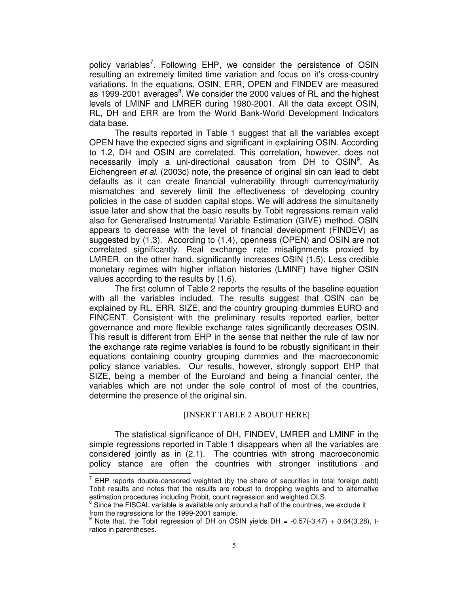policy variables<sup>7</sup>. Following EHP, we consider the persistence of OSIN resulting an extremely limited time variation and focus on it's cross-country variations. In the equations, OSIN, ERR, OPEN and FINDEV are measured as 1999-2001 averages<sup>8</sup>. We consider the 2000 values of RL and the highest levels of LMINF and LMRER during 1980-2001. All the data except OSIN, RL, DH and ERR are from the World Bank-World Development Indicators data base.

The results reported in Table 1 suggest that all the variables except OPEN have the expected signs and significant in explaining OSIN. According to 1.2, DH and OSIN are correlated. This correlation, however, does not necessarily imply a uni-directional causation from DH to OSIN<sup>9</sup>. As Eichengreen *et al.* (2003c) note, the presence of original sin can lead to debt defaults as it can create financial vulnerability through currency/maturity mismatches and severely limit the effectiveness of developing country policies in the case of sudden capital stops. We will address the simultaneity issue later and show that the basic results by Tobit regressions remain valid also for Generalised Instrumental Variable Estimation (GIVE) method. OSIN appears to decrease with the level of financial development (FINDEV) as suggested by (1.3). According to (1.4), openness (OPEN) and OSIN are not correlated significantly. Real exchange rate misalignments proxied by LMRER, on the other hand, significantly increases OSIN (1.5). Less credible monetary regimes with higher inflation histories (LMINF) have higher OSIN values according to the results by (1.6).

The first column of Table 2 reports the results of the baseline equation with all the variables included. The results suggest that OSIN can be explained by RL, ERR, SIZE, and the country grouping dummies EURO and FINCENT. Consistent with the preliminary results reported earlier, better governance and more flexible exchange rates significantly decreases OSIN. This result is different from EHP in the sense that neither the rule of law nor the exchange rate regime variables is found to be robustly significant in their equations containing country grouping dummies and the macroeconomic policy stance variables. Our results, however, strongly support EHP that SIZE, being a member of the Euroland and being a financial center, the variables which are not under the sole control of most of the countries, determine the presence of the original sin.

#### [INSERT TABLE 2 ABOUT HERE]

The statistical significance of DH, FINDEV, LMRER and LMINF in the simple regressions reported in Table 1 disappears when all the variables are considered jointly as in (2.1). The countries with strong macroeconomic policy stance are often the countries with stronger institutions and

 $<sup>7</sup>$  EHP reports double-censored weighted (by the share of securities in total foreign debt)</sup> Tobit results and notes that the results are robust to dropping weights and to alternative estimation procedures including Probit, count regression and weighted OLS.<br><sup>8</sup> Since the FISOAL variable is assumed to the second regression and weighted OLS.

Since the FISCAL variable is available only around a half of the countries, we exclude it from the regressions for the 1999-2001 sample.

Note that, the Tobit regression of DH on OSIN yields DH =  $-0.57(-3.47) + 0.64(3.28)$ , tratios in parentheses.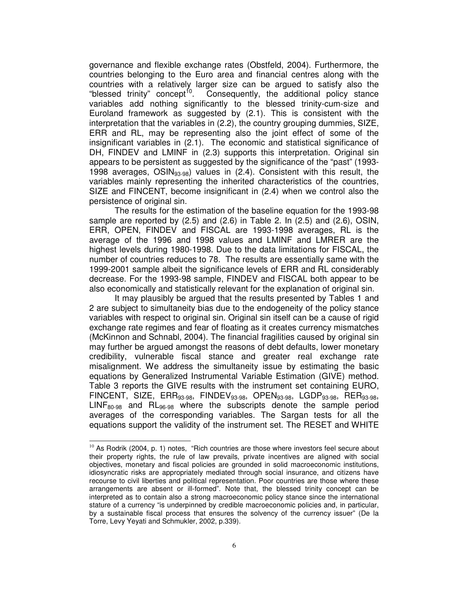governance and flexible exchange rates (Obstfeld, 2004). Furthermore, the countries belonging to the Euro area and financial centres along with the countries with a relatively larger size can be argued to satisfy also the "blessed trinity" concept<sup>10</sup>. Consequently, the additional policy stance variables add nothing significantly to the blessed trinity-cum-size and Euroland framework as suggested by (2.1). This is consistent with the interpretation that the variables in (2.2), the country grouping dummies, SIZE, ERR and RL, may be representing also the joint effect of some of the insignificant variables in (2.1). The economic and statistical significance of DH, FINDEV and LMINF in (2.3) supports this interpretation. Original sin appears to be persistent as suggested by the significance of the "past" (1993- 1998 averages,  $OSIN<sub>93-98</sub>$  values in (2.4). Consistent with this result, the variables mainly representing the inherited characteristics of the countries, SIZE and FINCENT, become insignificant in (2.4) when we control also the persistence of original sin.

The results for the estimation of the baseline equation for the 1993-98 sample are reported by (2.5) and (2.6) in Table 2. In (2.5) and (2.6), OSIN, ERR, OPEN, FINDEV and FISCAL are 1993-1998 averages, RL is the average of the 1996 and 1998 values and LMINF and LMRER are the highest levels during 1980-1998. Due to the data limitations for FISCAL, the number of countries reduces to 78. The results are essentially same with the 1999-2001 sample albeit the significance levels of ERR and RL considerably decrease. For the 1993-98 sample, FINDEV and FISCAL both appear to be also economically and statistically relevant for the explanation of original sin.

It may plausibly be argued that the results presented by Tables 1 and 2 are subject to simultaneity bias due to the endogeneity of the policy stance variables with respect to original sin. Original sin itself can be a cause of rigid exchange rate regimes and fear of floating as it creates currency mismatches (McKinnon and Schnabl, 2004). The financial fragilities caused by original sin may further be argued amongst the reasons of debt defaults, lower monetary credibility, vulnerable fiscal stance and greater real exchange rate misalignment. We address the simultaneity issue by estimating the basic equations by Generalized Instrumental Variable Estimation (GIVE) method. Table 3 reports the GIVE results with the instrument set containing EURO, FINCENT, SIZE, ERR<sub>93-98</sub>, FINDEV<sub>93-98</sub>, OPEN<sub>93-98</sub>, LGDP<sub>93-98</sub>, RER<sub>93-98</sub>, LINF80-98 and RL96-98 where the subscripts denote the sample period averages of the corresponding variables. The Sargan tests for all the equations support the validity of the instrument set. The RESET and WHITE

 $10$  As Rodrik (2004, p. 1) notes, "Rich countries are those where investors feel secure about their property rights, the rule of law prevails, private incentives are aligned with social objectives, monetary and fiscal policies are grounded in solid macroeconomic institutions, idiosyncratic risks are appropriately mediated through social insurance, and citizens have recourse to civil liberties and political representation. Poor countries are those where these arrangements are absent or ill-formed". Note that, the blessed trinity concept can be interpreted as to contain also a strong macroeconomic policy stance since the international stature of a currency "is underpinned by credible macroeconomic policies and, in particular, by a sustainable fiscal process that ensures the solvency of the currency issuer" (De la Torre, Levy Yeyati and Schmukler, 2002, p.339).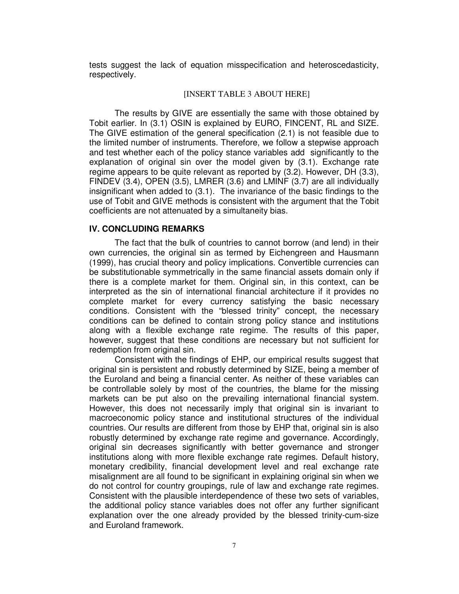tests suggest the lack of equation misspecification and heteroscedasticity, respectively.

#### [INSERT TABLE 3 ABOUT HERE]

The results by GIVE are essentially the same with those obtained by Tobit earlier. In (3.1) OSIN is explained by EURO, FINCENT, RL and SIZE. The GIVE estimation of the general specification (2.1) is not feasible due to the limited number of instruments. Therefore, we follow a stepwise approach and test whether each of the policy stance variables add significantly to the explanation of original sin over the model given by (3.1). Exchange rate regime appears to be quite relevant as reported by (3.2). However, DH (3.3), FINDEV (3.4), OPEN (3.5), LMRER (3.6) and LMINF (3.7) are all individually insignificant when added to (3.1). The invariance of the basic findings to the use of Tobit and GIVE methods is consistent with the argument that the Tobit coefficients are not attenuated by a simultaneity bias.

#### **IV. CONCLUDING REMARKS**

The fact that the bulk of countries to cannot borrow (and lend) in their own currencies, the original sin as termed by Eichengreen and Hausmann (1999), has crucial theory and policy implications. Convertible currencies can be substitutionable symmetrically in the same financial assets domain only if there is a complete market for them. Original sin, in this context, can be interpreted as the sin of international financial architecture if it provides no complete market for every currency satisfying the basic necessary conditions. Consistent with the "blessed trinity" concept, the necessary conditions can be defined to contain strong policy stance and institutions along with a flexible exchange rate regime. The results of this paper, however, suggest that these conditions are necessary but not sufficient for redemption from original sin.

Consistent with the findings of EHP, our empirical results suggest that original sin is persistent and robustly determined by SIZE, being a member of the Euroland and being a financial center. As neither of these variables can be controllable solely by most of the countries, the blame for the missing markets can be put also on the prevailing international financial system. However, this does not necessarily imply that original sin is invariant to macroeconomic policy stance and institutional structures of the individual countries. Our results are different from those by EHP that, original sin is also robustly determined by exchange rate regime and governance. Accordingly, original sin decreases significantly with better governance and stronger institutions along with more flexible exchange rate regimes. Default history, monetary credibility, financial development level and real exchange rate misalignment are all found to be significant in explaining original sin when we do not control for country groupings, rule of law and exchange rate regimes. Consistent with the plausible interdependence of these two sets of variables, the additional policy stance variables does not offer any further significant explanation over the one already provided by the blessed trinity-cum-size and Euroland framework.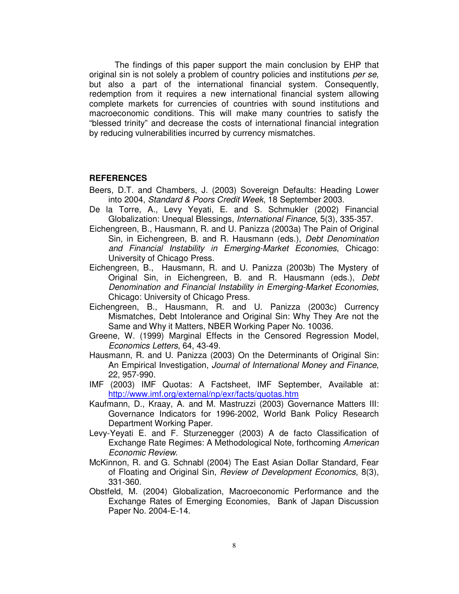The findings of this paper support the main conclusion by EHP that original sin is not solely a problem of country policies and institutions *per se*, but also a part of the international financial system. Consequently, redemption from it requires a new international financial system allowing complete markets for currencies of countries with sound institutions and macroeconomic conditions. This will make many countries to satisfy the "blessed trinity" and decrease the costs of international financial integration by reducing vulnerabilities incurred by currency mismatches.

#### **REFERENCES**

- Beers, D.T. and Chambers, J. (2003) Sovereign Defaults: Heading Lower into 2004, *Standard & Poors Credit Week*, 18 September 2003.
- De la Torre, A., Levy Yeyati, E. and S. Schmukler (2002) Financial Globalization: Unequal Blessings, *International Finance*, 5(3), 335-357.
- Eichengreen, B., Hausmann, R. and U. Panizza (2003a) The Pain of Original Sin, in Eichengreen, B. and R. Hausmann (eds.), *Debt Denomination and Financial Instability in Emerging-Market Economies*, Chicago: University of Chicago Press.
- Eichengreen, B., Hausmann, R. and U. Panizza (2003b) The Mystery of Original Sin, in Eichengreen, B. and R. Hausmann (eds.), *Debt Denomination and Financial Instability in Emerging-Market Economies*, Chicago: University of Chicago Press.
- Eichengreen, B., Hausmann, R. and U. Panizza (2003c) Currency Mismatches, Debt Intolerance and Original Sin: Why They Are not the Same and Why it Matters, NBER Working Paper No. 10036.
- Greene, W. (1999) Marginal Effects in the Censored Regression Model, *Economics Letters*, 64, 43-49.
- Hausmann, R. and U. Panizza (2003) On the Determinants of Original Sin: An Empirical Investigation, *Journal of International Money and Finance*, 22, 957-990.
- IMF (2003) IMF Quotas: A Factsheet, IMF September, Available at: http://www.imf.org/external/np/exr/facts/quotas.htm
- Kaufmann, D., Kraay, A. and M. Mastruzzi (2003) Governance Matters III: Governance Indicators for 1996-2002, World Bank Policy Research Department Working Paper.
- Levy-Yeyati E. and F. Sturzenegger (2003) A de facto Classification of Exchange Rate Regimes: A Methodological Note, forthcoming *American Economic Review*.
- McKinnon, R. and G. Schnabl (2004) The East Asian Dollar Standard, Fear of Floating and Original Sin, *Review of Development Economics*, 8(3), 331-360.
- Obstfeld, M. (2004) Globalization, Macroeconomic Performance and the Exchange Rates of Emerging Economies, Bank of Japan Discussion Paper No. 2004-E-14.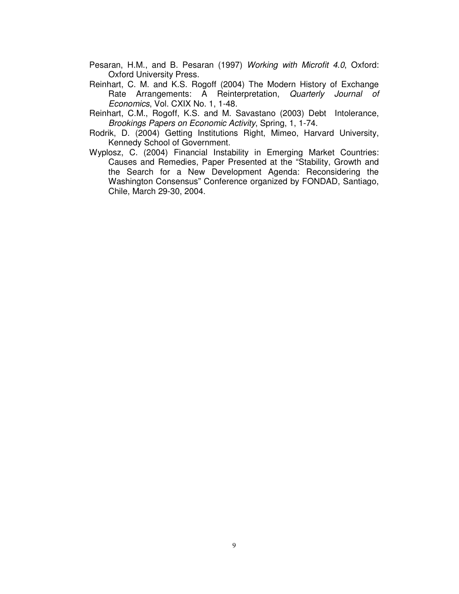- Pesaran, H.M., and B. Pesaran (1997) *Working with Microfit 4.0*, Oxford: Oxford University Press.
- Reinhart, C. M. and K.S. Rogoff (2004) The Modern History of Exchange Rate Arrangements: A Reinterpretation, *Quarterly Journal of Economics*, Vol. CXIX No. 1, 1-48.
- Reinhart, C.M., Rogoff, K.S. and M. Savastano (2003) Debt Intolerance, *Brookings Papers on Economic Activity*, Spring, 1, 1-74.
- Rodrik, D. (2004) Getting Institutions Right, Mimeo, Harvard University, Kennedy School of Government.
- Wyplosz, C. (2004) Financial Instability in Emerging Market Countries: Causes and Remedies, Paper Presented at the "Stability, Growth and the Search for a New Development Agenda: Reconsidering the Washington Consensus" Conference organized by FONDAD, Santiago, Chile, March 29-30, 2004.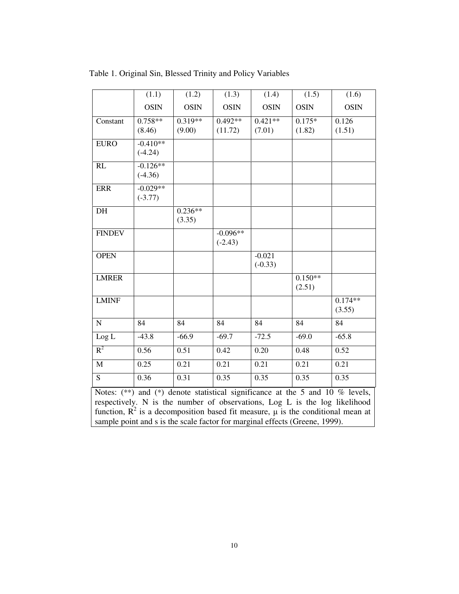|                                                                                                                                                                                                                                                                                                                                          | (1.1)                   | (1.2)               | (1.3)                   | (1.4)                 | (1.5)               | (1.6)               |
|------------------------------------------------------------------------------------------------------------------------------------------------------------------------------------------------------------------------------------------------------------------------------------------------------------------------------------------|-------------------------|---------------------|-------------------------|-----------------------|---------------------|---------------------|
|                                                                                                                                                                                                                                                                                                                                          | <b>OSIN</b>             | <b>OSIN</b>         | <b>OSIN</b>             | <b>OSIN</b>           | <b>OSIN</b>         | <b>OSIN</b>         |
| Constant                                                                                                                                                                                                                                                                                                                                 | $0.758**$<br>(8.46)     | $0.319**$<br>(9.00) | $0.492**$<br>(11.72)    | $0.421**$<br>(7.01)   | $0.175*$<br>(1.82)  | 0.126<br>(1.51)     |
| <b>EURO</b>                                                                                                                                                                                                                                                                                                                              | $-0.410**$<br>$(-4.24)$ |                     |                         |                       |                     |                     |
| RL                                                                                                                                                                                                                                                                                                                                       | $-0.126**$<br>$(-4.36)$ |                     |                         |                       |                     |                     |
| <b>ERR</b>                                                                                                                                                                                                                                                                                                                               | $-0.029**$<br>$(-3.77)$ |                     |                         |                       |                     |                     |
| DH                                                                                                                                                                                                                                                                                                                                       |                         | $0.236**$<br>(3.35) |                         |                       |                     |                     |
| <b>FINDEV</b>                                                                                                                                                                                                                                                                                                                            |                         |                     | $-0.096**$<br>$(-2.43)$ |                       |                     |                     |
| <b>OPEN</b>                                                                                                                                                                                                                                                                                                                              |                         |                     |                         | $-0.021$<br>$(-0.33)$ |                     |                     |
| <b>LMRER</b>                                                                                                                                                                                                                                                                                                                             |                         |                     |                         |                       | $0.150**$<br>(2.51) |                     |
| <b>LMINF</b>                                                                                                                                                                                                                                                                                                                             |                         |                     |                         |                       |                     | $0.174**$<br>(3.55) |
| $\overline{N}$                                                                                                                                                                                                                                                                                                                           | 84                      | $\overline{84}$     | 84                      | 84                    | 84                  | 84                  |
| Log L                                                                                                                                                                                                                                                                                                                                    | $-43.8$                 | $-66.9$             | $-69.7$                 | $-72.5$               | $-69.0$             | $-65.8$             |
| $R^2$                                                                                                                                                                                                                                                                                                                                    | 0.56                    | 0.51                | 0.42                    | 0.20                  | 0.48                | 0.52                |
| $\mathbf{M}$                                                                                                                                                                                                                                                                                                                             | 0.25                    | 0.21                | 0.21                    | 0.21                  | 0.21                | 0.21                |
| $\overline{S}$                                                                                                                                                                                                                                                                                                                           | 0.36                    | 0.31                | 0.35                    | 0.35                  | 0.35                | 0.35                |
| Notes: $(**)$ and $(*)$ denote statistical significance at the 5 and 10 % levels,<br>respectively. N is the number of observations, Log L is the log likelihood<br>function, $R^2$ is a decomposition based fit measure, $\mu$ is the conditional mean at<br>sample point and s is the scale factor for marginal effects (Greene, 1999). |                         |                     |                         |                       |                     |                     |

Table 1. Original Sin, Blessed Trinity and Policy Variables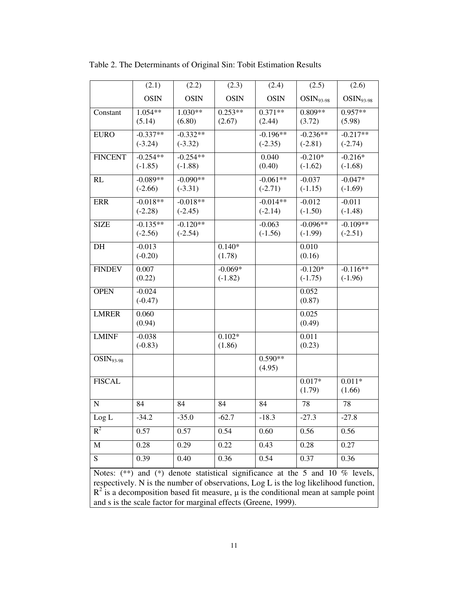|                                                                                           | (2.1)                   | (2.2)                   | (2.3)                  | (2.4)                   | (2.5)                   | (2.6)                   |  |
|-------------------------------------------------------------------------------------------|-------------------------|-------------------------|------------------------|-------------------------|-------------------------|-------------------------|--|
|                                                                                           | <b>OSIN</b>             | <b>OSIN</b>             | <b>OSIN</b>            | <b>OSIN</b>             | $OSIN_{93-98}$          | $OSIN_{93-98}$          |  |
| Constant                                                                                  | $1.054**$<br>(5.14)     | $1.030**$<br>(6.80)     | $0.253**$<br>(2.67)    | $0.371**$<br>(2.44)     | $0.809**$<br>(3.72)     | $0.957**$<br>(5.98)     |  |
| <b>EURO</b>                                                                               | $-0.337**$<br>$(-3.24)$ | $-0.332**$<br>$(-3.32)$ |                        | $-0.196**$<br>$(-2.35)$ | $-0.236**$<br>$(-2.81)$ | $-0.217**$<br>$(-2.74)$ |  |
| <b>FINCENT</b>                                                                            | $-0.254**$<br>$(-1.85)$ | $-0.254**$<br>$(-1.88)$ |                        | 0.040<br>(0.40)         | $-0.210*$<br>$(-1.62)$  | $-0.216*$<br>$(-1.68)$  |  |
| RL                                                                                        | $-0.089**$<br>$(-2.66)$ | $-0.090**$<br>$(-3.31)$ |                        | $-0.061**$<br>$(-2.71)$ | $-0.037$<br>$(-1.15)$   | $-0.047*$<br>$(-1.69)$  |  |
| <b>ERR</b>                                                                                | $-0.018**$<br>$(-2.28)$ | $-0.018**$<br>$(-2.45)$ |                        | $-0.014**$<br>$(-2.14)$ | $-0.012$<br>$(-1.50)$   | $-0.011$<br>$(-1.48)$   |  |
| <b>SIZE</b>                                                                               | $-0.135**$<br>$(-2.56)$ | $-0.120**$<br>$(-2.54)$ |                        | $-0.063$<br>$(-1.56)$   | $-0.096**$<br>$(-1.99)$ | $-0.109**$<br>$(-2.51)$ |  |
| DH                                                                                        | $-0.013$<br>$(-0.20)$   |                         | $0.140*$<br>(1.78)     |                         | 0.010<br>(0.16)         |                         |  |
| <b>FINDEV</b>                                                                             | 0.007<br>(0.22)         |                         | $-0.069*$<br>$(-1.82)$ |                         | $-0.120*$<br>$(-1.75)$  | $-0.116**$<br>$(-1.96)$ |  |
| <b>OPEN</b>                                                                               | $-0.024$<br>$(-0.47)$   |                         |                        |                         | 0.052<br>(0.87)         |                         |  |
| <b>LMRER</b>                                                                              | 0.060<br>(0.94)         |                         |                        |                         | 0.025<br>(0.49)         |                         |  |
| <b>LMINF</b>                                                                              | $-0.038$<br>$(-0.83)$   |                         | $0.102*$<br>(1.86)     |                         | 0.011<br>(0.23)         |                         |  |
| $OSIN_{93-98}$                                                                            |                         |                         |                        | $0.590**$<br>(4.95)     |                         |                         |  |
| <b>FISCAL</b>                                                                             |                         |                         |                        |                         | $0.017*$<br>(1.79)      | $0.011*$<br>(1.66)      |  |
| ${\bf N}$                                                                                 | 84                      | 84                      | 84                     | 84                      | 78                      | 78                      |  |
| $\overline{\text{Log}}$ L                                                                 | $-34.2$                 | $-35.0$                 | $-62.7$                | $-18.3$                 | $-27.3$                 | $-27.8$                 |  |
| $R^2$                                                                                     | 0.57                    | 0.57                    | 0.54                   | 0.60                    | 0.56                    | 0.56                    |  |
| $\overline{M}$                                                                            | 0.28                    | 0.29                    | 0.22                   | 0.43                    | 0.28                    | 0.27                    |  |
| $\overline{S}$                                                                            | 0.39                    | 0.40                    | 0.36                   | 0.54                    | 0.37                    | 0.36                    |  |
| denote statistical significance at the 5 and 10 $%$ levels,<br>Notes: $(**)$<br>and $(*)$ |                         |                         |                        |                         |                         |                         |  |

Table 2. The Determinants of Original Sin: Tobit Estimation Results

Notes:  $(**)$  and  $(*)$  denote statistical significance at the 5 and 10 % levels, respectively. N is the number of observations, Log L is the log likelihood function,  $R^2$  is a decomposition based fit measure,  $\mu$  is the conditional mean at sample point and s is the scale factor for marginal effects (Greene, 1999).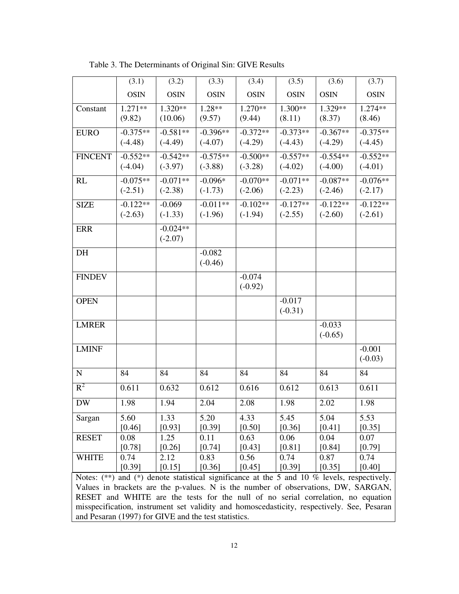|                                                                                                 | (3.1)       | (3.2)       | (3.3)       | (3.4)       | (3.5)       | (3.6)       | (3.7)       |
|-------------------------------------------------------------------------------------------------|-------------|-------------|-------------|-------------|-------------|-------------|-------------|
|                                                                                                 | <b>OSIN</b> | <b>OSIN</b> | <b>OSIN</b> | <b>OSIN</b> | <b>OSIN</b> | <b>OSIN</b> | <b>OSIN</b> |
| Constant                                                                                        | $1.271**$   | $1.320**$   | $1.28**$    | $1.270**$   | $1.300**$   | 1.329**     | $1.274**$   |
|                                                                                                 | (9.82)      | (10.06)     | (9.57)      | (9.44)      | (8.11)      | (8.37)      | (8.46)      |
| <b>EURO</b>                                                                                     | $-0.375**$  | $-0.581**$  | $-0.396**$  | $-0.372**$  | $-0.373**$  | $-0.367**$  | $-0.375**$  |
|                                                                                                 | $(-4.48)$   | $(-4.49)$   | $(-4.07)$   | $(-4.29)$   | $(-4.43)$   | $(-4.29)$   | $(-4.45)$   |
| <b>FINCENT</b>                                                                                  | $-0.552**$  | $-0.542**$  | $-0.575**$  | $-0.500**$  | $-0.557**$  | $-0.554**$  | $-0.552**$  |
|                                                                                                 | $(-4.04)$   | $(-3.97)$   | $(-3.88)$   | $(-3.28)$   | $(-4.02)$   | $(-4.00)$   | $(-4.01)$   |
| RL                                                                                              | $-0.075**$  | $-0.071**$  | $-0.096*$   | $-0.070**$  | $-0.071**$  | $-0.087**$  | $-0.076**$  |
|                                                                                                 | $(-2.51)$   | $(-2.38)$   | $(-1.73)$   | $(-2.06)$   | $(-2.23)$   | $(-2.46)$   | $(-2.17)$   |
| <b>SIZE</b>                                                                                     | $-0.122**$  | $-0.069$    | $-0.011**$  | $-0.102**$  | $-0.127**$  | $-0.122**$  | $-0.122**$  |
|                                                                                                 | $(-2.63)$   | $(-1.33)$   | $(-1.96)$   | $(-1.94)$   | $(-2.55)$   | $(-2.60)$   | $(-2.61)$   |
| <b>ERR</b>                                                                                      |             | $-0.024**$  |             |             |             |             |             |
|                                                                                                 |             | $(-2.07)$   |             |             |             |             |             |
| DH                                                                                              |             |             | $-0.082$    |             |             |             |             |
|                                                                                                 |             |             | $(-0.46)$   |             |             |             |             |
| <b>FINDEV</b>                                                                                   |             |             |             | $-0.074$    |             |             |             |
|                                                                                                 |             |             |             | $(-0.92)$   |             |             |             |
| <b>OPEN</b>                                                                                     |             |             |             |             | $-0.017$    |             |             |
|                                                                                                 |             |             |             |             | $(-0.31)$   |             |             |
| <b>LMRER</b>                                                                                    |             |             |             |             |             | $-0.033$    |             |
|                                                                                                 |             |             |             |             |             | $(-0.65)$   |             |
| <b>LMINF</b>                                                                                    |             |             |             |             |             |             | $-0.001$    |
|                                                                                                 |             |             |             |             |             |             | $(-0.03)$   |
| N                                                                                               | 84          | 84          | 84          | 84          | 84          | 84          | 84          |
| $R^2$                                                                                           | 0.611       | 0.632       | 0.612       | 0.616       | 0.612       | 0.613       | 0.611       |
| <b>DW</b>                                                                                       | 1.98        | 1.94        | 2.04        | 2.08        | 1.98        | 2.02        | 1.98        |
| Sargan                                                                                          | 5.60        | 1.33        | 5.20        | 4.33        | 5.45        | 5.04        | 5.53        |
|                                                                                                 | [0.46]      | [0.93]      | [0.39]      | [0.50]      | [0.36]      | $[0.41]$    | [0.35]      |
| <b>RESET</b>                                                                                    | 0.08        | 1.25        | 0.11        | 0.63        | 0.06        | 0.04        | 0.07        |
|                                                                                                 | [0.78]      | [0.26]      | [0.74]      | [0.43]      | [0.81]      | [0.84]      | [0.79]      |
| <b>WHITE</b>                                                                                    | 0.74        | 2.12        | 0.83        | 0.56        | 0.74        | 0.87        | 0.74        |
|                                                                                                 | [0.39]      | [0.15]      | [0.36]      | [0.45]      | [0.39]      | [0.35]      | $[0.40]$    |
| Notes: $(**)$ and $(*)$ denote statistical significance at the 5 and 10 % levels, respectively. |             |             |             |             |             |             |             |
| Values in brackets are the p-values. N is the number of observations, DW, SARGAN,               |             |             |             |             |             |             |             |
| RESET and WHITE are the tests for the null of no serial correlation, no equation                |             |             |             |             |             |             |             |
| misspecification, instrument set validity and homoscedasticity, respectively. See, Pesaran      |             |             |             |             |             |             |             |
| and Pesaran (1997) for GIVE and the test statistics.                                            |             |             |             |             |             |             |             |

Table 3. The Determinants of Original Sin: GIVE Results